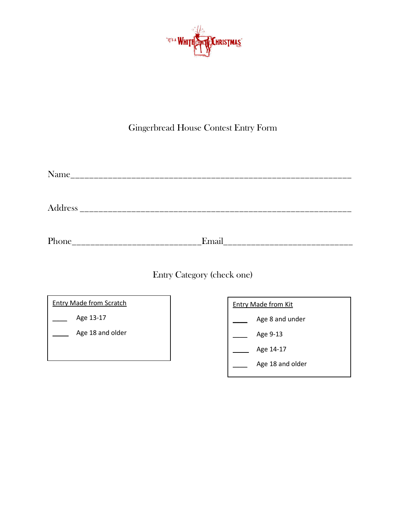

## Gingerbread House Contest Entry Form

Address \_\_\_\_\_\_\_\_\_\_\_\_\_\_\_\_\_\_\_\_\_\_\_\_\_\_\_\_\_\_\_\_\_\_\_\_\_\_\_\_\_\_\_\_\_\_\_\_\_\_\_\_\_\_\_\_\_\_

Phone\_\_\_\_\_\_\_\_\_\_\_\_\_\_\_\_\_\_\_\_\_\_\_\_\_\_\_\_Email\_\_\_\_\_\_\_\_\_\_\_\_\_\_\_\_\_\_\_\_\_\_\_\_\_\_\_\_

Entry Category (check one)

| <b>Entry Made from Scratch</b> |  | <b>Entry Made from Kit</b> |
|--------------------------------|--|----------------------------|
| Age 13-17                      |  | Age 8 and under            |
| Age 18 and older               |  | Age 9-13                   |
|                                |  | Age 14-17                  |
|                                |  | Age 18 and older           |